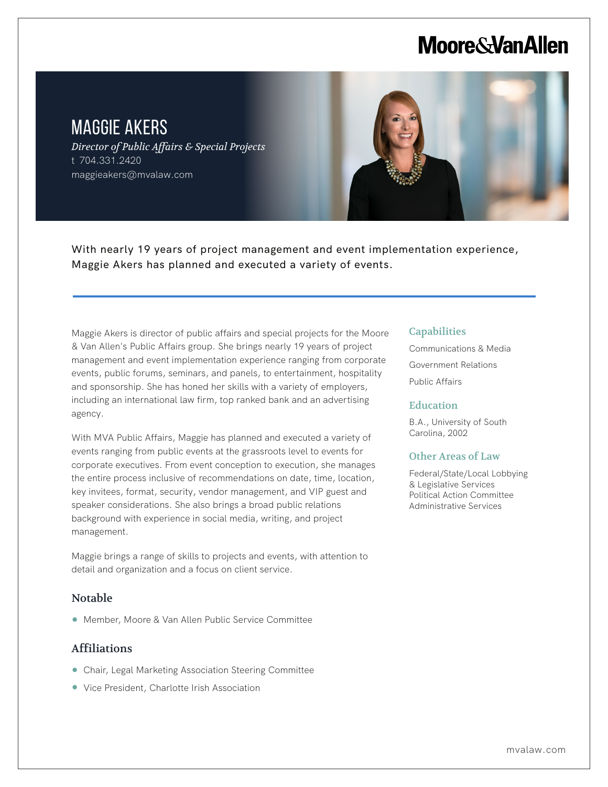# **Moore & Van Allen**

## MAGGIE AKERS

L

*Director of Public Affairs & Special Projects* t 704.331.2420 maggieakers@mvalaw.com



Maggie Akers is director of public affairs and special projects for the Moore & Van Allen's Public Affairs group. She brings nearly 19 years of project management and event implementation experience ranging from corporate events, public forums, seminars, and panels, to entertainment, hospitality and sponsorship. She has honed her skills with a variety of employers, including an international law firm, top ranked bank and an advertising agency.

With MVA Public Affairs, Maggie has planned and executed a variety of events ranging from public events at the grassroots level to events for corporate executives. From event conception to execution, she manages the entire process inclusive of recommendations on date, time, location, key invitees, format, security, vendor management, and VIP guest and speaker considerations. She also brings a broad public relations background with experience in social media, writing, and project management.

Maggie brings a range of skills to projects and events, with attention to detail and organization and a focus on client service.

### Notable

● Member, Moore & Van Allen Public Service Committee

### Affiliations

- Chair, Legal Marketing Association Steering Committee
- Vice President, Charlotte Irish Association

#### **Capabilities**

Communications & Media Government Relations Public Affairs

#### **Education**

B.A., University of South Carolina, 2002

#### Other Areas of Law

Federal/State/Local Lobbying & Legislative Services Political Action Committee Administrative Services